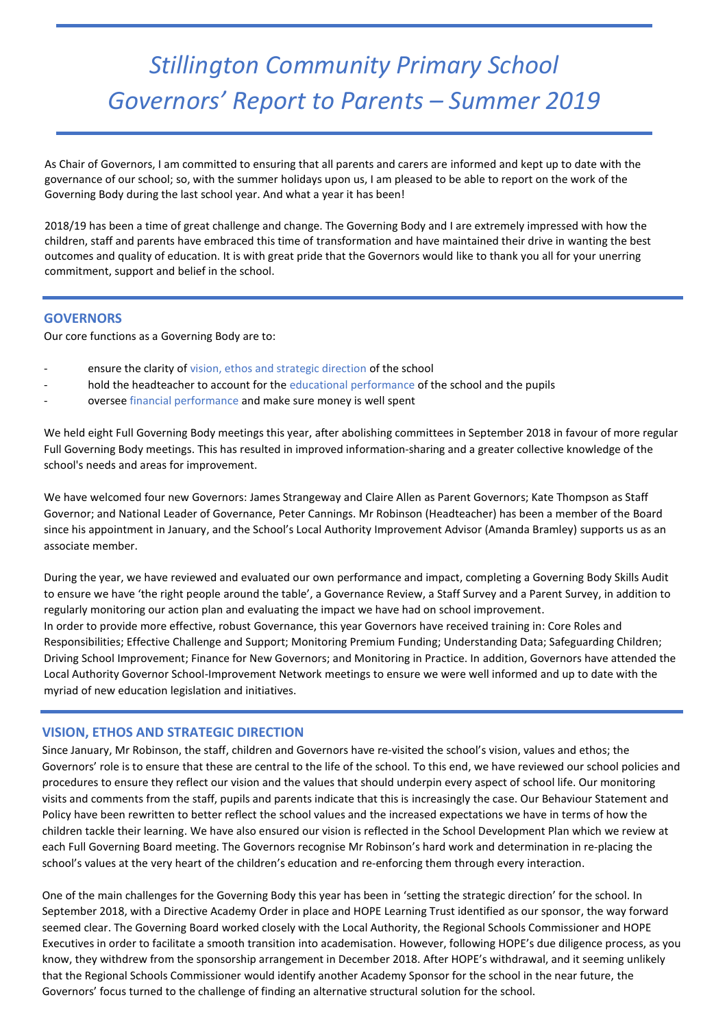# *Stillington Community Primary School Governors' Report to Parents – Summer 2019*

As Chair of Governors, I am committed to ensuring that all parents and carers are informed and kept up to date with the governance of our school; so, with the summer holidays upon us, I am pleased to be able to report on the work of the Governing Body during the last school year. And what a year it has been!

2018/19 has been a time of great challenge and change. The Governing Body and I are extremely impressed with how the children, staff and parents have embraced this time of transformation and have maintained their drive in wanting the best outcomes and quality of education. It is with great pride that the Governors would like to thank you all for your unerring commitment, support and belief in the school.

#### **GOVERNORS**

Our core functions as a Governing Body are to:

- ensure the clarity of vision, ethos and strategic direction of the school
- hold the headteacher to account for the educational performance of the school and the pupils
- oversee financial performance and make sure money is well spent

We held eight Full Governing Body meetings this year, after abolishing committees in September 2018 in favour of more regular Full Governing Body meetings. This has resulted in improved information-sharing and a greater collective knowledge of the school's needs and areas for improvement.

We have welcomed four new Governors: James Strangeway and Claire Allen as Parent Governors; Kate Thompson as Staff Governor; and National Leader of Governance, Peter Cannings. Mr Robinson (Headteacher) has been a member of the Board since his appointment in January, and the School's Local Authority Improvement Advisor (Amanda Bramley) supports us as an associate member.

During the year, we have reviewed and evaluated our own performance and impact, completing a Governing Body Skills Audit to ensure we have 'the right people around the table', a Governance Review, a Staff Survey and a Parent Survey, in addition to regularly monitoring our action plan and evaluating the impact we have had on school improvement. In order to provide more effective, robust Governance, this year Governors have received training in: Core Roles and Responsibilities; Effective Challenge and Support; Monitoring Premium Funding; Understanding Data; Safeguarding Children; Driving School Improvement; Finance for New Governors; and Monitoring in Practice. In addition, Governors have attended the Local Authority Governor School-Improvement Network meetings to ensure we were well informed and up to date with the myriad of new education legislation and initiatives.

# *If you would like to know more about our Governing Body please see the updated Governor Section of the school website.*  **VISION, ETHOS AND STRATEGIC DIRECTION**

Since January, Mr Robinson, the staff, children and Governors have re-visited the school's vision, values and ethos; the Governors' role is to ensure that these are central to the life of the school. To this end, we have reviewed our school policies and procedures to ensure they reflect our vision and the values that should underpin every aspect of school life. Our monitoring visits and comments from the staff, pupils and parents indicate that this is increasingly the case. Our Behaviour Statement and Policy have been rewritten to better reflect the school values and the increased expectations we have in terms of how the children tackle their learning. We have also ensured our vision is reflected in the School Development Plan which we review at each Full Governing Board meeting. The Governors recognise Mr Robinson's hard work and determination in re-placing the school's values at the very heart of the children's education and re-enforcing them through every interaction.

One of the main challenges for the Governing Body this year has been in 'setting the strategic direction' for the school. In September 2018, with a Directive Academy Order in place and HOPE Learning Trust identified as our sponsor, the way forward seemed clear. The Governing Board worked closely with the Local Authority, the Regional Schools Commissioner and HOPE Executives in order to facilitate a smooth transition into academisation. However, following HOPE's due diligence process, as you know, they withdrew from the sponsorship arrangement in December 2018. After HOPE's withdrawal, and it seeming unlikely that the Regional Schools Commissioner would identify another Academy Sponsor for the school in the near future, the Governors' focus turned to the challenge of finding an alternative structural solution for the school.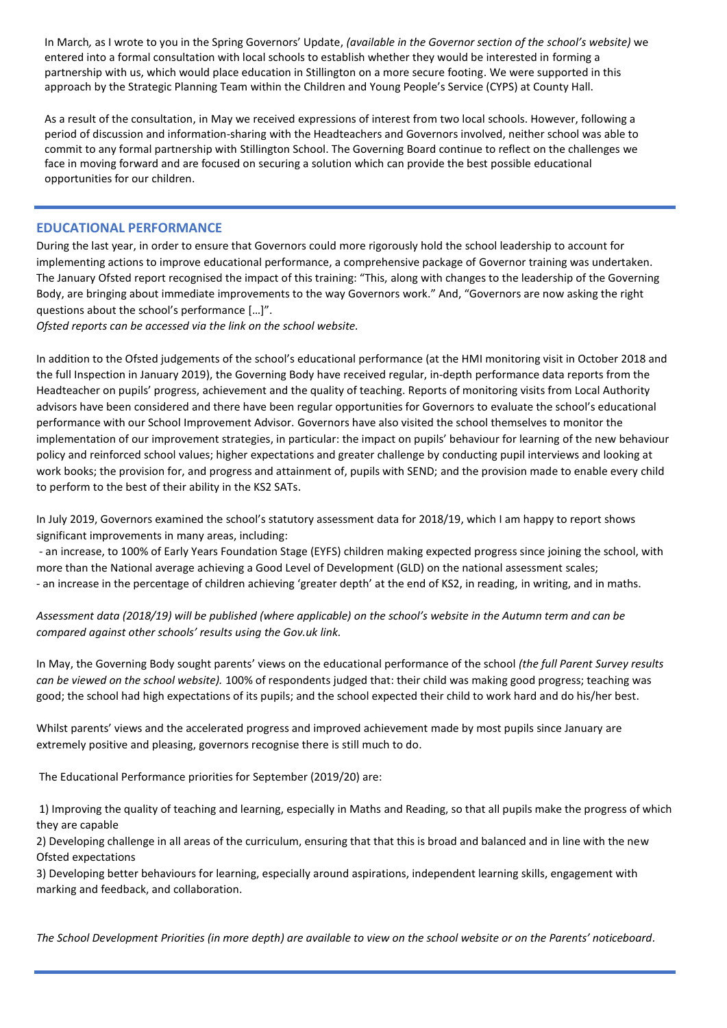In March*,* as I wrote to you in the Spring Governors' Update, *(available in the Governor section of the school's website)* we entered into a formal consultation with local schools to establish whether they would be interested in forming a partnership with us, which would place education in Stillington on a more secure footing. We were supported in this approach by the Strategic Planning Team within the Children and Young People's Service (CYPS) at County Hall.

As a result of the consultation, in May we received expressions of interest from two local schools. However, following a period of discussion and information-sharing with the Headteachers and Governors involved, neither school was able to commit to any formal partnership with Stillington School. The Governing Board continue to reflect on the challenges we face in moving forward and are focused on securing a solution which can provide the best possible educational opportunities for our children.

## **EDUCATIONAL PERFORMANCE**

During the last year, in order to ensure that Governors could more rigorously hold the school leadership to account for implementing actions to improve educational performance, a comprehensive package of Governor training was undertaken. The January Ofsted report recognised the impact of this training: "This, along with changes to the leadership of the Governing Body, are bringing about immediate improvements to the way Governors work." And, "Governors are now asking the right questions about the school's performance […]".

*Ofsted reports can be accessed via the link on the school website.*

In addition to the Ofsted judgements of the school's educational performance (at the HMI monitoring visit in October 2018 and the full Inspection in January 2019), the Governing Body have received regular, in-depth performance data reports from the Headteacher on pupils' progress, achievement and the quality of teaching. Reports of monitoring visits from Local Authority advisors have been considered and there have been regular opportunities for Governors to evaluate the school's educational performance with our School Improvement Advisor. Governors have also visited the school themselves to monitor the implementation of our improvement strategies, in particular: the impact on pupils' behaviour for learning of the new behaviour policy and reinforced school values; higher expectations and greater challenge by conducting pupil interviews and looking at work books; the provision for, and progress and attainment of, pupils with SEND; and the provision made to enable every child to perform to the best of their ability in the KS2 SATs.

In July 2019, Governors examined the school's statutory assessment data for 2018/19, which I am happy to report shows significant improvements in many areas, including:

- an increase, to 100% of Early Years Foundation Stage (EYFS) children making expected progress since joining the school, with more than the National average achieving a Good Level of Development (GLD) on the national assessment scales; - an increase in the percentage of children achieving 'greater depth' at the end of KS2, in reading, in writing, and in maths.

*Assessment data (2018/19) will be published (where applicable) on the school's website in the Autumn term and can be compared against other schools' results using the Gov.uk link.*

In May, the Governing Body sought parents' views on the educational performance of the school *(the full Parent Survey results can be viewed on the school website).* 100% of respondents judged that: their child was making good progress; teaching was good; the school had high expectations of its pupils; and the school expected their child to work hard and do his/her best.

Whilst parents' views and the accelerated progress and improved achievement made by most pupils since January are extremely positive and pleasing, governors recognise there is still much to do.

The Educational Performance priorities for September (2019/20) are:

1) Improving the quality of teaching and learning, especially in Maths and Reading, so that all pupils make the progress of which they are capable

2) Developing challenge in all areas of the curriculum, ensuring that that this is broad and balanced and in line with the new Ofsted expectations

3) Developing better behaviours for learning, especially around aspirations, independent learning skills, engagement with marking and feedback, and collaboration.

*The School Development Priorities (in more depth) are available to view on the school website or on the Parents' noticeboard.*